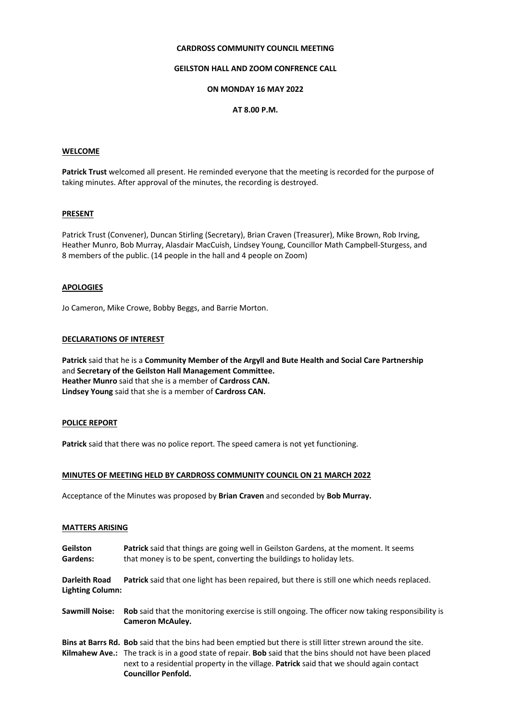# **CARDROSS COMMUNITY COUNCIL MEETING**

# **GEILSTON HALL AND ZOOM CONFRENCE CALL**

# **ON MONDAY 16 MAY 2022**

# **AT 8.00 P.M.**

#### **WELCOME**

**Patrick Trust** welcomed all present. He reminded everyone that the meeting is recorded for the purpose of taking minutes. After approval of the minutes, the recording is destroyed.

### **PRESENT**

Patrick Trust (Convener), Duncan Stirling (Secretary), Brian Craven (Treasurer), Mike Brown, Rob Irving, Heather Munro, Bob Murray, Alasdair MacCuish, Lindsey Young, Councillor Math Campbell-Sturgess, and 8 members of the public. (14 people in the hall and 4 people on Zoom)

# **APOLOGIES**

Jo Cameron, Mike Crowe, Bobby Beggs, and Barrie Morton.

#### **DECLARATIONS OF INTEREST**

**Patrick** said that he is a **Community Member of the Argyll and Bute Health and Social Care Partnership** and **Secretary of the Geilston Hall Management Committee. Heather Munro** said that she is a member of **Cardross CAN. Lindsey Young** said that she is a member of **Cardross CAN.**

#### **POLICE REPORT**

**Patrick** said that there was no police report. The speed camera is not yet functioning.

#### **MINUTES OF MEETING HELD BY CARDROSS COMMUNITY COUNCIL ON 21 MARCH 2022**

Acceptance of the Minutes was proposed by **Brian Craven** and seconded by **Bob Murray.**

#### **MATTERS ARISING**

| Geilston<br>Gardens:                            | <b>Patrick</b> said that things are going well in Geilston Gardens, at the moment. It seems<br>that money is to be spent, converting the buildings to holiday lets.                                                                                                                                                                                              |
|-------------------------------------------------|------------------------------------------------------------------------------------------------------------------------------------------------------------------------------------------------------------------------------------------------------------------------------------------------------------------------------------------------------------------|
| <b>Darleith Road</b><br><b>Lighting Column:</b> | <b>Patrick</b> said that one light has been repaired, but there is still one which needs replaced.                                                                                                                                                                                                                                                               |
| Sawmill Noise:                                  | <b>Rob</b> said that the monitoring exercise is still ongoing. The officer now taking responsibility is<br><b>Cameron McAuley.</b>                                                                                                                                                                                                                               |
|                                                 | Bins at Barrs Rd. Bob said that the bins had been emptied but there is still litter strewn around the site.<br><b>Kilmahew Ave.:</b> The track is in a good state of repair. <b>Bob</b> said that the bins should not have been placed<br>next to a residential property in the village. Patrick said that we should again contact<br><b>Councillor Penfold.</b> |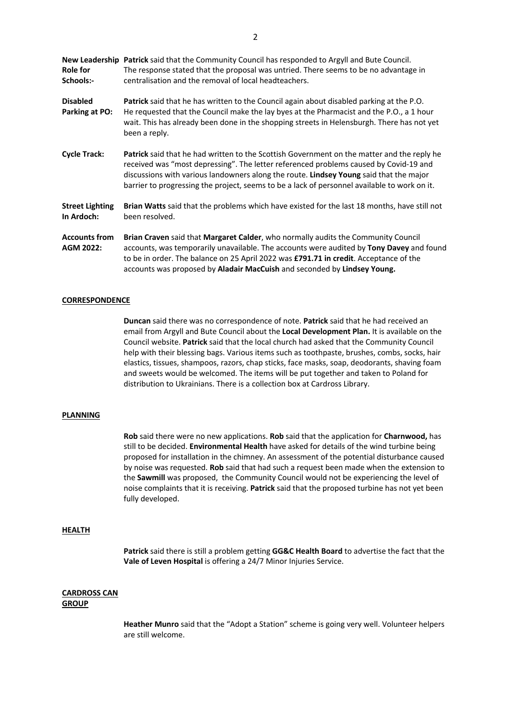**New Leadership Patrick** said that the Community Council has responded to Argyll and Bute Council. **Role for** The response stated that the proposal was untried. There seems to be no advantage in **Schools:-** centralisation and the removal of local headteachers.

- **Disabled Patrick** said that he has written to the Council again about disabled parking at the P.O. **Parking at PO:** He requested that the Council make the lay byes at the Pharmacist and the P.O., a 1 hour wait. This has already been done in the shopping streets in Helensburgh. There has not yet been a reply.
- **Cycle Track: Patrick** said that he had written to the Scottish Government on the matter and the reply he received was "most depressing". The letter referenced problems caused by Covid-19 and discussions with various landowners along the route. **Lindsey Young** said that the major barrier to progressing the project, seems to be a lack of personnel available to work on it.

**Street Lighting Brian Watts** said that the problems which have existed for the last 18 months, have still not **In Ardoch:** been resolved.

**Accounts from Brian Craven** said that **Margaret Calder**, who normally audits the Community Council **AGM 2022:** accounts, was temporarily unavailable. The accounts were audited by **Tony Davey** and found to be in order. The balance on 25 April 2022 was **£791.71 in credit**. Acceptance of the accounts was proposed by **Aladair MacCuish** and seconded by **Lindsey Young.**

#### **CORRESPONDENCE**

**Duncan** said there was no correspondence of note. **Patrick** said that he had received an email from Argyll and Bute Council about the **Local Development Plan.** It is available on the Council website. **Patrick** said that the local church had asked that the Community Council help with their blessing bags. Various items such as toothpaste, brushes, combs, socks, hair elastics, tissues, shampoos, razors, chap sticks, face masks, soap, deodorants, shaving foam and sweets would be welcomed. The items will be put together and taken to Poland for distribution to Ukrainians. There is a collection box at Cardross Library.

#### **PLANNING**

**Rob** said there were no new applications. **Rob** said that the application for **Charnwood,** has still to be decided. **Environmental Health** have asked for details of the wind turbine being proposed for installation in the chimney. An assessment of the potential disturbance caused by noise was requested. **Rob** said that had such a request been made when the extension to the **Sawmill** was proposed, the Community Council would not be experiencing the level of noise complaints that it is receiving. **Patrick** said that the proposed turbine has not yet been fully developed.

#### **HEALTH**

**Patrick** said there is still a problem getting **GG&C Health Board** to advertise the fact that the **Vale of Leven Hospital** is offering a 24/7 Minor Injuries Service.

#### **CARDROSS CAN GROUP**

**Heather Munro** said that the "Adopt a Station" scheme is going very well. Volunteer helpers are still welcome.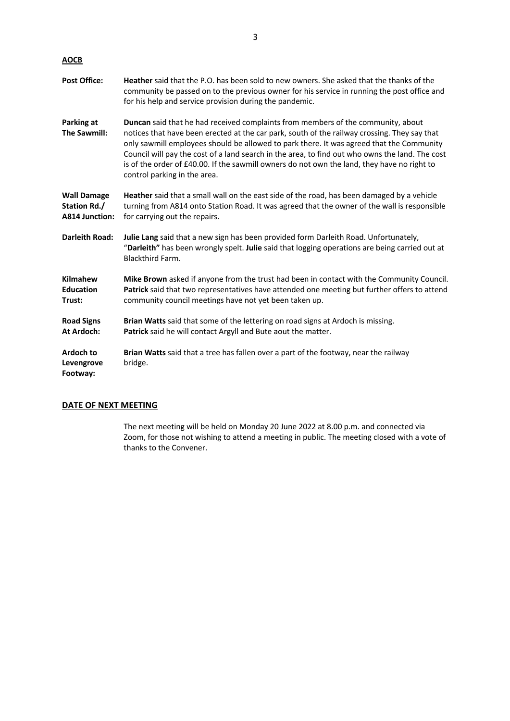| <b>AOCB</b>                                                 |                                                                                                                                                                                                                                                                                                                                                                                                                                                                                                                       |
|-------------------------------------------------------------|-----------------------------------------------------------------------------------------------------------------------------------------------------------------------------------------------------------------------------------------------------------------------------------------------------------------------------------------------------------------------------------------------------------------------------------------------------------------------------------------------------------------------|
| <b>Post Office:</b>                                         | <b>Heather</b> said that the P.O. has been sold to new owners. She asked that the thanks of the<br>community be passed on to the previous owner for his service in running the post office and<br>for his help and service provision during the pandemic.                                                                                                                                                                                                                                                             |
| Parking at<br>The Sawmill:                                  | <b>Duncan</b> said that he had received complaints from members of the community, about<br>notices that have been erected at the car park, south of the railway crossing. They say that<br>only sawmill employees should be allowed to park there. It was agreed that the Community<br>Council will pay the cost of a land search in the area, to find out who owns the land. The cost<br>is of the order of £40.00. If the sawmill owners do not own the land, they have no right to<br>control parking in the area. |
| <b>Wall Damage</b><br>Station Rd./<br><b>A814 Junction:</b> | Heather said that a small wall on the east side of the road, has been damaged by a vehicle<br>turning from A814 onto Station Road. It was agreed that the owner of the wall is responsible<br>for carrying out the repairs.                                                                                                                                                                                                                                                                                           |
| <b>Darleith Road:</b>                                       | Julie Lang said that a new sign has been provided form Darleith Road. Unfortunately,<br>"Darleith" has been wrongly spelt. Julie said that logging operations are being carried out at<br><b>Blackthird Farm.</b>                                                                                                                                                                                                                                                                                                     |
| <b>Kilmahew</b><br><b>Education</b><br>Trust:               | Mike Brown asked if anyone from the trust had been in contact with the Community Council.<br>Patrick said that two representatives have attended one meeting but further offers to attend<br>community council meetings have not yet been taken up.                                                                                                                                                                                                                                                                   |
| <b>Road Signs</b><br>At Ardoch:                             | Brian Watts said that some of the lettering on road signs at Ardoch is missing.<br>Patrick said he will contact Argyll and Bute aout the matter.                                                                                                                                                                                                                                                                                                                                                                      |
| Ardoch to<br>Levengrove<br>Footway:                         | Brian Watts said that a tree has fallen over a part of the footway, near the railway<br>bridge.                                                                                                                                                                                                                                                                                                                                                                                                                       |

# **DATE OF NEXT MEETING**

The next meeting will be held on Monday 20 June 2022 at 8.00 p.m. and connected via Zoom, for those not wishing to attend a meeting in public. The meeting closed with a vote of thanks to the Convener.